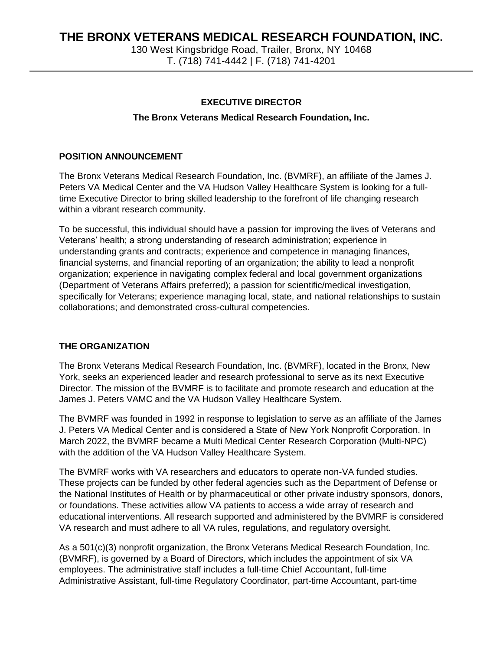130 West Kingsbridge Road, Trailer, Bronx, NY 10468 T. (718) 741-4442 | F. (718) 741-4201

### **EXECUTIVE DIRECTOR**

### **The Bronx Veterans Medical Research Foundation, Inc.**

### **POSITION ANNOUNCEMENT**

The Bronx Veterans Medical Research Foundation, Inc. (BVMRF), an affiliate of the James J. Peters VA Medical Center and the VA Hudson Valley Healthcare System is looking for a fulltime Executive Director to bring skilled leadership to the forefront of life changing research within a vibrant research community.

To be successful, this individual should have a passion for improving the lives of Veterans and Veterans' health; a strong understanding of research administration; experience in understanding grants and contracts; experience and competence in managing finances, financial systems, and financial reporting of an organization; the ability to lead a nonprofit organization; experience in navigating complex federal and local government organizations (Department of Veterans Affairs preferred); a passion for scientific/medical investigation, specifically for Veterans; experience managing local, state, and national relationships to sustain collaborations; and demonstrated cross-cultural competencies.

#### **THE ORGANIZATION**

The Bronx Veterans Medical Research Foundation, Inc. (BVMRF), located in the Bronx, New York, seeks an experienced leader and research professional to serve as its next Executive Director. The mission of the BVMRF is to facilitate and promote research and education at the James J. Peters VAMC and the VA Hudson Valley Healthcare System.

The BVMRF was founded in 1992 in response to legislation to serve as an affiliate of the James J. Peters VA Medical Center and is considered a State of New York Nonprofit Corporation. In March 2022, the BVMRF became a Multi Medical Center Research Corporation (Multi-NPC) with the addition of the VA Hudson Valley Healthcare System.

The BVMRF works with VA researchers and educators to operate non-VA funded studies. These projects can be funded by other federal agencies such as the Department of Defense or the National Institutes of Health or by pharmaceutical or other private industry sponsors, donors, or foundations. These activities allow VA patients to access a wide array of research and educational interventions. All research supported and administered by the BVMRF is considered VA research and must adhere to all VA rules, regulations, and regulatory oversight.

As a 501(c)(3) nonprofit organization, the Bronx Veterans Medical Research Foundation, Inc. (BVMRF), is governed by a Board of Directors, which includes the appointment of six VA employees. The administrative staff includes a full-time Chief Accountant, full-time Administrative Assistant, full-time Regulatory Coordinator, part-time Accountant, part-time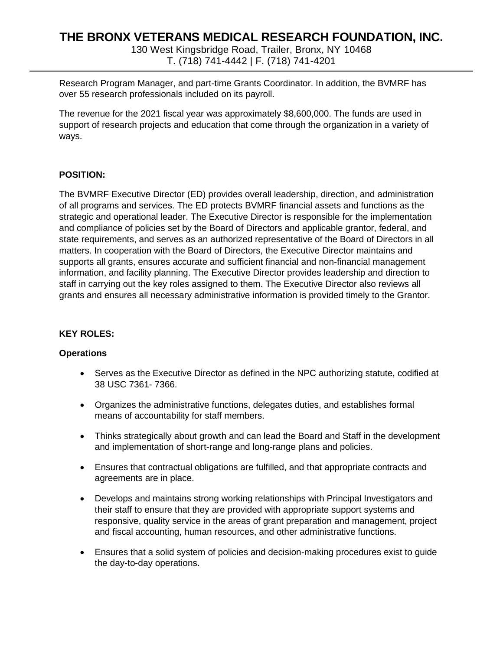130 West Kingsbridge Road, Trailer, Bronx, NY 10468 T. (718) 741-4442 | F. (718) 741-4201

Research Program Manager, and part-time Grants Coordinator. In addition, the BVMRF has over 55 research professionals included on its payroll.

The revenue for the 2021 fiscal year was approximately \$8,600,000. The funds are used in support of research projects and education that come through the organization in a variety of ways.

## **POSITION:**

The BVMRF Executive Director (ED) provides overall leadership, direction, and administration of all programs and services. The ED protects BVMRF financial assets and functions as the strategic and operational leader. The Executive Director is responsible for the implementation and compliance of policies set by the Board of Directors and applicable grantor, federal, and state requirements, and serves as an authorized representative of the Board of Directors in all matters. In cooperation with the Board of Directors, the Executive Director maintains and supports all grants, ensures accurate and sufficient financial and non-financial management information, and facility planning. The Executive Director provides leadership and direction to staff in carrying out the key roles assigned to them. The Executive Director also reviews all grants and ensures all necessary administrative information is provided timely to the Grantor.

### **KEY ROLES:**

### **Operations**

- Serves as the Executive Director as defined in the NPC authorizing statute, codified at 38 USC 7361- 7366.
- Organizes the administrative functions, delegates duties, and establishes formal means of accountability for staff members.
- Thinks strategically about growth and can lead the Board and Staff in the development and implementation of short-range and long-range plans and policies.
- Ensures that contractual obligations are fulfilled, and that appropriate contracts and agreements are in place.
- Develops and maintains strong working relationships with Principal Investigators and their staff to ensure that they are provided with appropriate support systems and responsive, quality service in the areas of grant preparation and management, project and fiscal accounting, human resources, and other administrative functions.
- Ensures that a solid system of policies and decision-making procedures exist to guide the day-to-day operations.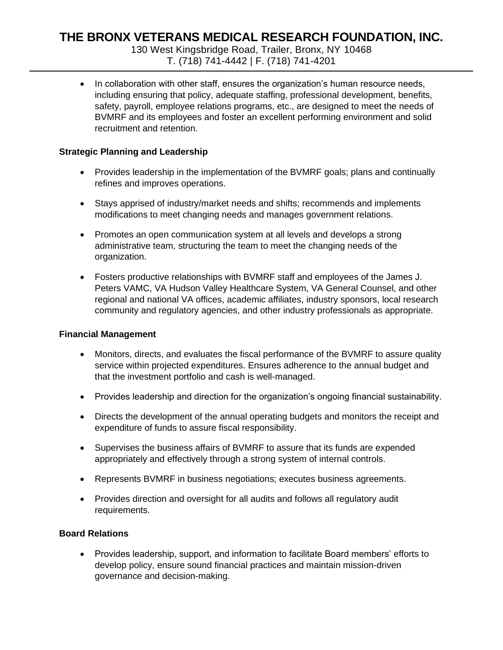130 West Kingsbridge Road, Trailer, Bronx, NY 10468 T. (718) 741-4442 | F. (718) 741-4201

• In collaboration with other staff, ensures the organization's human resource needs, including ensuring that policy, adequate staffing, professional development, benefits, safety, payroll, employee relations programs, etc., are designed to meet the needs of BVMRF and its employees and foster an excellent performing environment and solid recruitment and retention.

## **Strategic Planning and Leadership**

- Provides leadership in the implementation of the BVMRF goals; plans and continually refines and improves operations.
- Stays apprised of industry/market needs and shifts; recommends and implements modifications to meet changing needs and manages government relations.
- Promotes an open communication system at all levels and develops a strong administrative team, structuring the team to meet the changing needs of the organization.
- Fosters productive relationships with BVMRF staff and employees of the James J. Peters VAMC, VA Hudson Valley Healthcare System, VA General Counsel, and other regional and national VA offices, academic affiliates, industry sponsors, local research community and regulatory agencies, and other industry professionals as appropriate.

### **Financial Management**

- Monitors, directs, and evaluates the fiscal performance of the BVMRF to assure quality service within projected expenditures. Ensures adherence to the annual budget and that the investment portfolio and cash is well-managed.
- Provides leadership and direction for the organization's ongoing financial sustainability.
- Directs the development of the annual operating budgets and monitors the receipt and expenditure of funds to assure fiscal responsibility.
- Supervises the business affairs of BVMRF to assure that its funds are expended appropriately and effectively through a strong system of internal controls.
- Represents BVMRF in business negotiations; executes business agreements.
- Provides direction and oversight for all audits and follows all regulatory audit requirements.

## **Board Relations**

• Provides leadership, support, and information to facilitate Board members' efforts to develop policy, ensure sound financial practices and maintain mission-driven governance and decision-making.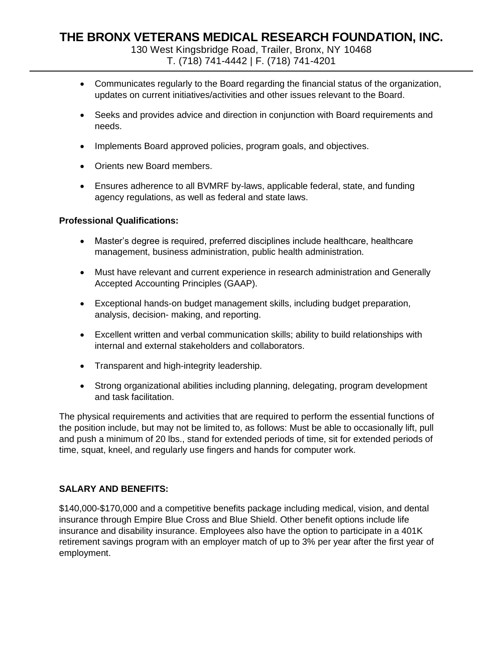130 West Kingsbridge Road, Trailer, Bronx, NY 10468 T. (718) 741-4442 | F. (718) 741-4201

- Communicates regularly to the Board regarding the financial status of the organization, updates on current initiatives/activities and other issues relevant to the Board.
- Seeks and provides advice and direction in conjunction with Board requirements and needs.
- Implements Board approved policies, program goals, and objectives.
- Orients new Board members.
- Ensures adherence to all BVMRF by-laws, applicable federal, state, and funding agency regulations, as well as federal and state laws.

### **Professional Qualifications:**

- Master's degree is required, preferred disciplines include healthcare, healthcare management, business administration, public health administration.
- Must have relevant and current experience in research administration and Generally Accepted Accounting Principles (GAAP).
- Exceptional hands-on budget management skills, including budget preparation, analysis, decision- making, and reporting.
- Excellent written and verbal communication skills; ability to build relationships with internal and external stakeholders and collaborators.
- Transparent and high-integrity leadership.
- Strong organizational abilities including planning, delegating, program development and task facilitation.

The physical requirements and activities that are required to perform the essential functions of the position include, but may not be limited to, as follows: Must be able to occasionally lift, pull and push a minimum of 20 lbs., stand for extended periods of time, sit for extended periods of time, squat, kneel, and regularly use fingers and hands for computer work.

## **SALARY AND BENEFITS:**

\$140,000-\$170,000 and a competitive benefits package including medical, vision, and dental insurance through Empire Blue Cross and Blue Shield. Other benefit options include life insurance and disability insurance. Employees also have the option to participate in a 401K retirement savings program with an employer match of up to 3% per year after the first year of employment.